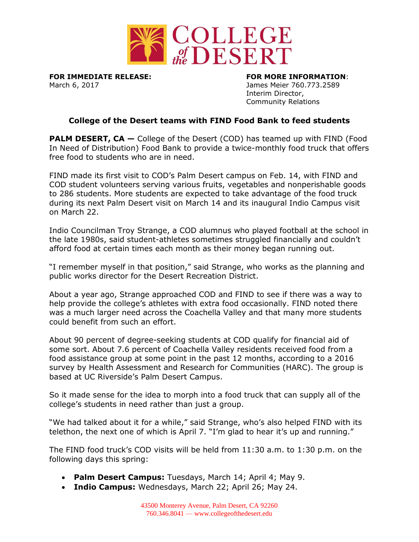

March 6, 2017 James Meier 760.773.2589

**FOR IMMEDIATE RELEASE: FOR MORE INFORMATION**: Interim Director, Community Relations

## **College of the Desert teams with FIND Food Bank to feed students**

**PALM DESERT, CA** – College of the Desert (COD) has teamed up with FIND (Food In Need of Distribution) Food Bank to provide a twice-monthly food truck that offers free food to students who are in need.

FIND made its first visit to COD's Palm Desert campus on Feb. 14, with FIND and COD student volunteers serving various fruits, vegetables and nonperishable goods to 286 students. More students are expected to take advantage of the food truck during its next Palm Desert visit on March 14 and its inaugural Indio Campus visit on March 22.

Indio Councilman Troy Strange, a COD alumnus who played football at the school in the late 1980s, said student-athletes sometimes struggled financially and couldn't afford food at certain times each month as their money began running out.

"I remember myself in that position," said Strange, who works as the planning and public works director for the Desert Recreation District.

About a year ago, Strange approached COD and FIND to see if there was a way to help provide the college's athletes with extra food occasionally. FIND noted there was a much larger need across the Coachella Valley and that many more students could benefit from such an effort.

About 90 percent of degree-seeking students at COD qualify for financial aid of some sort. About 7.6 percent of Coachella Valley residents received food from a food assistance group at some point in the past 12 months, according to a 2016 survey by Health Assessment and Research for Communities (HARC). The group is based at UC Riverside's Palm Desert Campus.

So it made sense for the idea to morph into a food truck that can supply all of the college's students in need rather than just a group.

"We had talked about it for a while," said Strange, who's also helped FIND with its telethon, the next one of which is April 7. "I'm glad to hear it's up and running."

The FIND food truck's COD visits will be held from 11:30 a.m. to 1:30 p.m. on the following days this spring:

- **Palm Desert Campus:** Tuesdays, March 14; April 4; May 9.
- **Indio Campus:** Wednesdays, March 22; April 26; May 24.